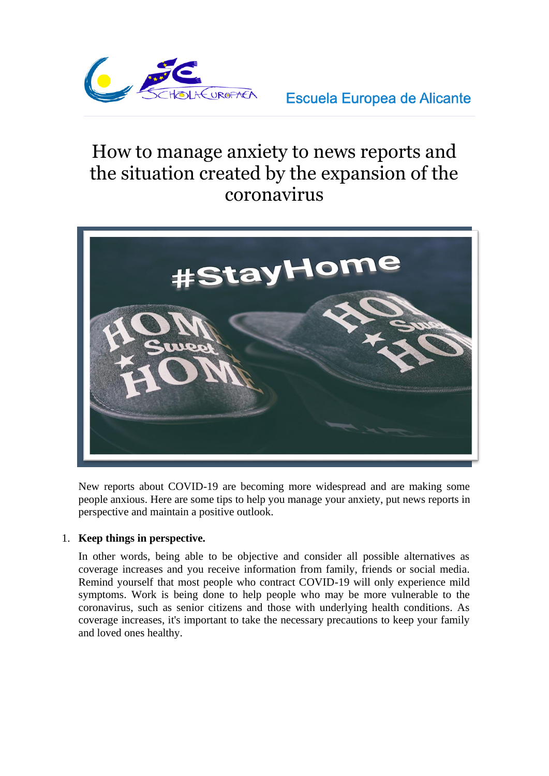

**Escuela Europea de Alicante** 

# How to manage anxiety to news reports and the situation created by the expansion of the coronavirus



New reports about COVID-19 are becoming more widespread and are making some people anxious. Here are some tips to help you manage your anxiety, put news reports in perspective and maintain a positive outlook.

# 1. **Keep things in perspective.**

In other words, being able to be objective and consider all possible alternatives as coverage increases and you receive information from family, friends or social media. Remind yourself that most people who contract COVID-19 will only experience mild symptoms. Work is being done to help people who may be more vulnerable to the coronavirus, such as senior citizens and those with underlying health conditions. As coverage increases, it's important to take the necessary precautions to keep your family and loved ones healthy.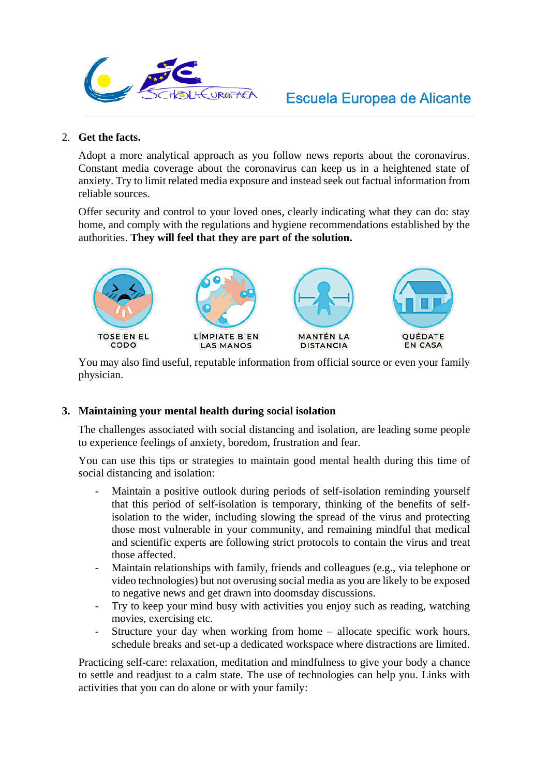

#### 2. **Get the facts.**

Adopt a more analytical approach as you follow news reports about the coronavirus. Constant media coverage about the coronavirus can keep us in a heightened state of anxiety. Try to limit related media exposure and instead seek out factual information from reliable sources.

Offer security and control to your loved ones, clearly indicating what they can do: stay home, and comply with the regulations and hygiene recommendations established by the authorities. **They will feel that they are part of the solution.**



You may also find useful, reputable information from official source or even your family physician.

# **3. Maintaining your mental health during social isolation**

The challenges associated with social distancing and isolation, are leading some people to experience feelings of anxiety, boredom, frustration and fear.

You can use this tips or strategies to maintain good mental health during this time of social distancing and isolation:

- Maintain a positive outlook during periods of self-isolation reminding yourself that this period of self-isolation is temporary, thinking of the benefits of selfisolation to the wider, including slowing the spread of the virus and protecting those most vulnerable in your community, and remaining mindful that medical and scientific experts are following strict protocols to contain the virus and treat those affected.
- Maintain relationships with family, friends and colleagues (e.g., via telephone or video technologies) but not overusing social media as you are likely to be exposed to negative news and get drawn into doomsday discussions.
- Try to keep your mind busy with activities you enjoy such as reading, watching movies, exercising etc.
- Structure your day when working from home allocate specific work hours, schedule breaks and set-up a dedicated workspace where distractions are limited.

Practicing self-care: relaxation, meditation and mindfulness to give your body a chance to settle and readjust to a calm state. The use of technologies can help you. Links with activities that you can do alone or with your family: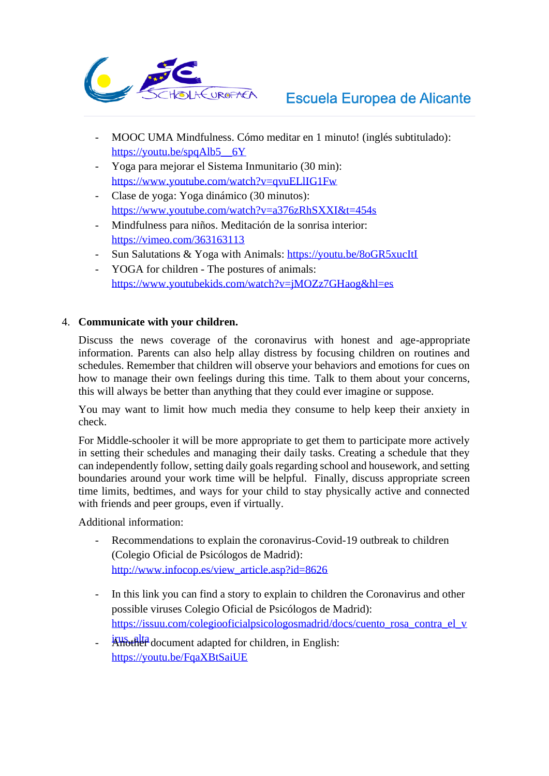

- MOOC UMA Mindfulness. Cómo meditar en 1 minuto! (inglés subtitulado): https://youtu.be/spqAlb5\_\_6Y
- [Yoga para mejorar el Sistema I](https://youtu.be/spqAlb5__6Y)nmunitario (30 min): https://www.youtube.com/watch?v=qvuELlIG1Fw
- [Clase de yoga: Yoga dinámico \(30 minutos\):](https://www.youtube.com/watch?v=qvuELlIG1Fw)  https://www.youtube.com/watch?v=a376zRhSXXI&t=454s
- [Mindfulness para niños. Meditación de la sonrisa interior:](https://www.youtube.com/watch?v=a376zRhSXXI&t=454s)  https://vimeo.com/363163113
- [Sun Salutations & Yoga with A](https://vimeo.com/363163113)nimals:<https://youtu.be/8oGR5xucItI>
- YOGA for children The postures of animals: <https://www.youtubekids.com/watch?v=jMOZz7GHaog&hl=es>

# 4. **Communicate with your children.**

Discuss the news coverage of the coronavirus with honest and age-appropriate information. Parents can also help allay distress by focusing children on routines and schedules. Remember that children will observe your behaviors and emotions for cues on how to manage their own feelings during this time. Talk to them about your concerns, this will always be better than anything that they could ever imagine or suppose.

You may want to limit how much media they consume to help keep their anxiety in check.

For Middle-schooler it will be more appropriate to get them to participate more actively in setting their schedules and managing their daily tasks. Creating a schedule that they can independently follow, setting daily goals regarding school and housework, and setting boundaries around your work time will be helpful. Finally, discuss appropriate screen time limits, bedtimes, and ways for your child to stay physically active and connected with friends and peer groups, even if virtually.

Additional information:

- Recommendations to explain the coronavirus-Covid-19 outbreak to children (Colegio Oficial de Psicólogos de Madrid): [http://www.infocop.es/view\\_article.asp?id=8626](http://www.infocop.es/view_article.asp?id=8626)
- In this link you can find a story to explain to children the Coronavirus and other possible viruses Colegio Oficial de Psicólogos de Madrid): [https://issuu.com/colegiooficialpsicologosmadrid/docs/cuento\\_rosa\\_contra\\_el\\_v](https://issuu.com/colegiooficialpsicologosmadrid/docs/cuento_rosa_contra_el_virus_alta)
- <sup>irus</sup> alta document adapted for children, in English: <https://youtu.be/FqaXBtSaiUE>